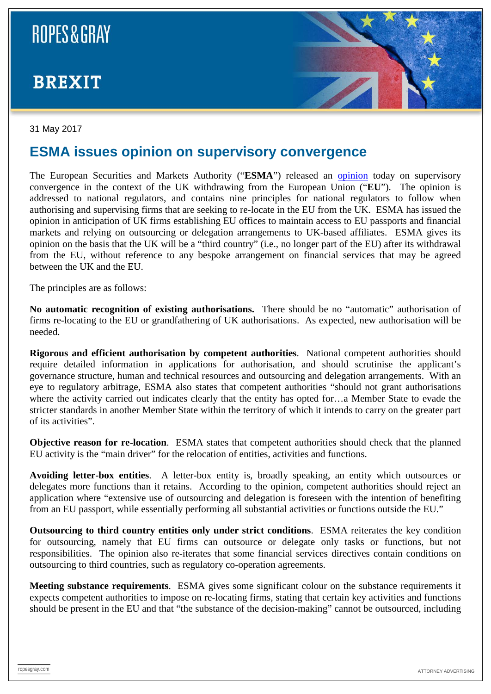## **ROPES & GRAY**

### **BREXIT**



#### 31 May 2017

#### **ESMA issues opinion on supervisory convergence**

The European Securities and Markets Authority ("**ESMA**") released an [opinion](https://www.esma.europa.eu/press-news/esma-news/esma-issues-principles-supervisory-approach-relocations-uk) today on supervisory convergence in the context of the UK withdrawing from the European Union ("**EU**"). The opinion is addressed to national regulators, and contains nine principles for national regulators to follow when authorising and supervising firms that are seeking to re-locate in the EU from the UK. ESMA has issued the opinion in anticipation of UK firms establishing EU offices to maintain access to EU passports and financial markets and relying on outsourcing or delegation arrangements to UK-based affiliates. ESMA gives its opinion on the basis that the UK will be a "third country" (i.e., no longer part of the EU) after its withdrawal from the EU, without reference to any bespoke arrangement on financial services that may be agreed between the UK and the EU.

The principles are as follows:

**No automatic recognition of existing authorisations.** There should be no "automatic" authorisation of firms re-locating to the EU or grandfathering of UK authorisations. As expected, new authorisation will be needed.

**Rigorous and efficient authorisation by competent authorities**. National competent authorities should require detailed information in applications for authorisation, and should scrutinise the applicant's governance structure, human and technical resources and outsourcing and delegation arrangements. With an eye to regulatory arbitrage, ESMA also states that competent authorities "should not grant authorisations where the activity carried out indicates clearly that the entity has opted for…a Member State to evade the stricter standards in another Member State within the territory of which it intends to carry on the greater part of its activities".

**Objective reason for re-location**. ESMA states that competent authorities should check that the planned EU activity is the "main driver" for the relocation of entities, activities and functions.

**Avoiding letter-box entities**. A letter-box entity is, broadly speaking, an entity which outsources or delegates more functions than it retains. According to the opinion, competent authorities should reject an application where "extensive use of outsourcing and delegation is foreseen with the intention of benefiting from an EU passport, while essentially performing all substantial activities or functions outside the EU."

**Outsourcing to third country entities only under strict conditions**. ESMA reiterates the key condition for outsourcing, namely that EU firms can outsource or delegate only tasks or functions, but not responsibilities. The opinion also re-iterates that some financial services directives contain conditions on outsourcing to third countries, such as regulatory co-operation agreements.

**Meeting substance requirements**. ESMA gives some significant colour on the substance requirements it expects competent authorities to impose on re-locating firms, stating that certain key activities and functions should be present in the EU and that "the substance of the decision-making" cannot be outsourced, including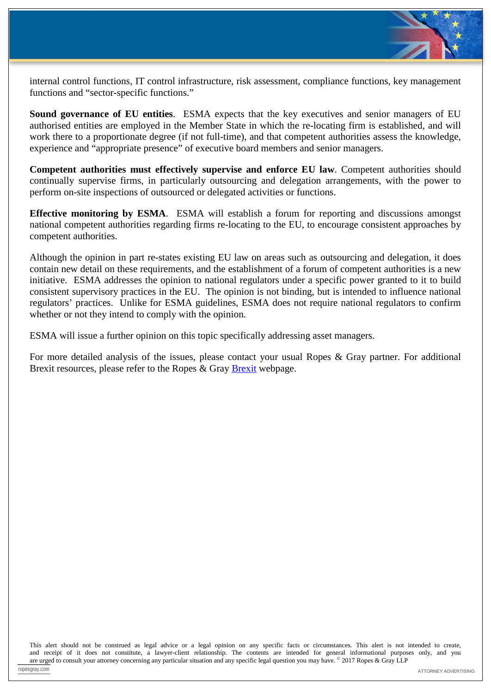

internal control functions, IT control infrastructure, risk assessment, compliance functions, key management functions and "sector-specific functions."

**Sound governance of EU entities**. ESMA expects that the key executives and senior managers of EU authorised entities are employed in the Member State in which the re-locating firm is established, and will work there to a proportionate degree (if not full-time), and that competent authorities assess the knowledge, experience and "appropriate presence" of executive board members and senior managers.

**Competent authorities must effectively supervise and enforce EU law**. Competent authorities should continually supervise firms, in particularly outsourcing and delegation arrangements, with the power to perform on-site inspections of outsourced or delegated activities or functions.

**Effective monitoring by ESMA**. ESMA will establish a forum for reporting and discussions amongst national competent authorities regarding firms re-locating to the EU, to encourage consistent approaches by competent authorities.

Although the opinion in part re-states existing EU law on areas such as outsourcing and delegation, it does contain new detail on these requirements, and the establishment of a forum of competent authorities is a new initiative. ESMA addresses the opinion to national regulators under a specific power granted to it to build consistent supervisory practices in the EU. The opinion is not binding, but is intended to influence national regulators' practices. Unlike for ESMA guidelines, ESMA does not require national regulators to confirm whether or not they intend to comply with the opinion.

ESMA will issue a further opinion on this topic specifically addressing asset managers.

For more detailed analysis of the issues, please contact your usual Ropes & Gray partner. For additional Brexit resources, please refer to the Ropes & Gray [Brexit](https://www.ropesgray.com/practices/Brexit.aspx) webpage.

This alert should not be construed as legal advice or a legal opinion on any specific facts or circumstances. This alert is not intended to create, and receipt of it does not constitute, a lawyer-client relationship. The contents are intended for general informational purposes only, and you are urged to consult your attorney concerning any particular situation and any specific legal question you may have. © 2017 Ropes & Gray LLP